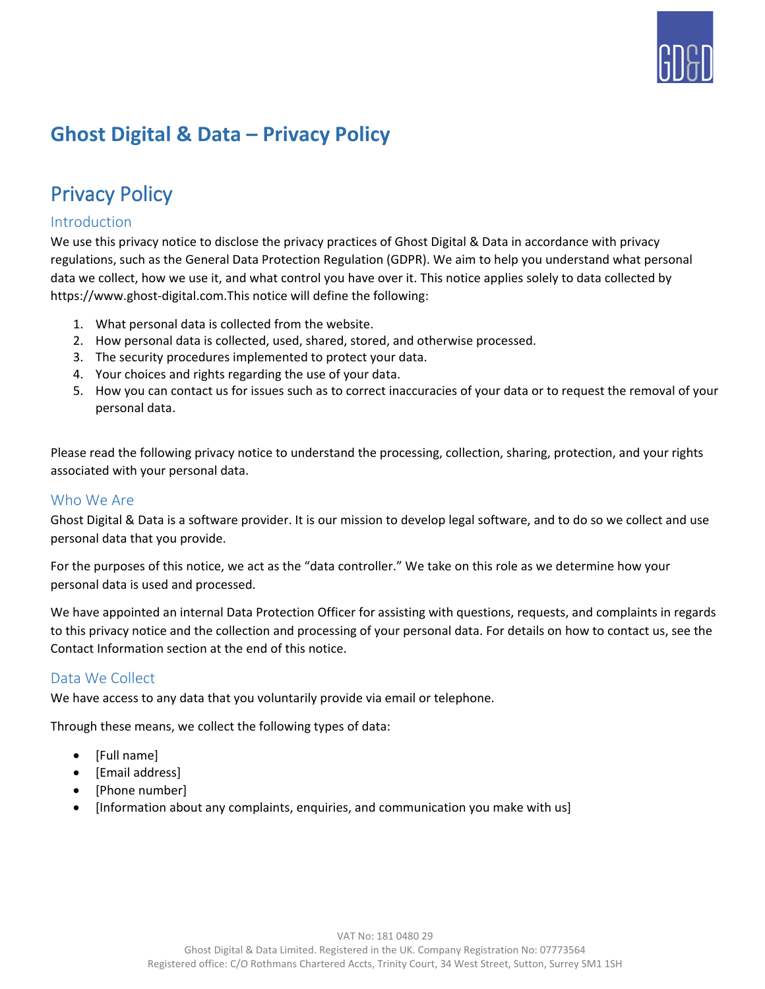

# **Ghost Digital & Data – Privacy Policy**

# Privacy Policy

## Introduction

We use this privacy notice to disclose the privacy practices of Ghost Digital & Data in accordance with privacy regulations, such as the General Data Protection Regulation (GDPR). We aim to help you understand what personal data we collect, how we use it, and what control you have over it. This notice applies solely to data collected by https://www.ghost-digital.com.This notice will define the following:

- 1. What personal data is collected from the website.
- 2. How personal data is collected, used, shared, stored, and otherwise processed.
- 3. The security procedures implemented to protect your data.
- 4. Your choices and rights regarding the use of your data.
- 5. How you can contact us for issues such as to correct inaccuracies of your data or to request the removal of your personal data.

Please read the following privacy notice to understand the processing, collection, sharing, protection, and your rights associated with your personal data.

### Who We Are

Ghost Digital & Data is a software provider. It is our mission to develop legal software, and to do so we collect and use personal data that you provide.

For the purposes of this notice, we act as the "data controller." We take on this role as we determine how your personal data is used and processed.

We have appointed an internal Data Protection Officer for assisting with questions, requests, and complaints in regards to this privacy notice and the collection and processing of your personal data. For details on how to contact us, see the Contact Information section at the end of this notice.

## Data We Collect

We have access to any data that you voluntarily provide via email or telephone.

Through these means, we collect the following types of data:

- [Full name]
- [Email address]
- [Phone number]
- [Information about any complaints, enquiries, and communication you make with us]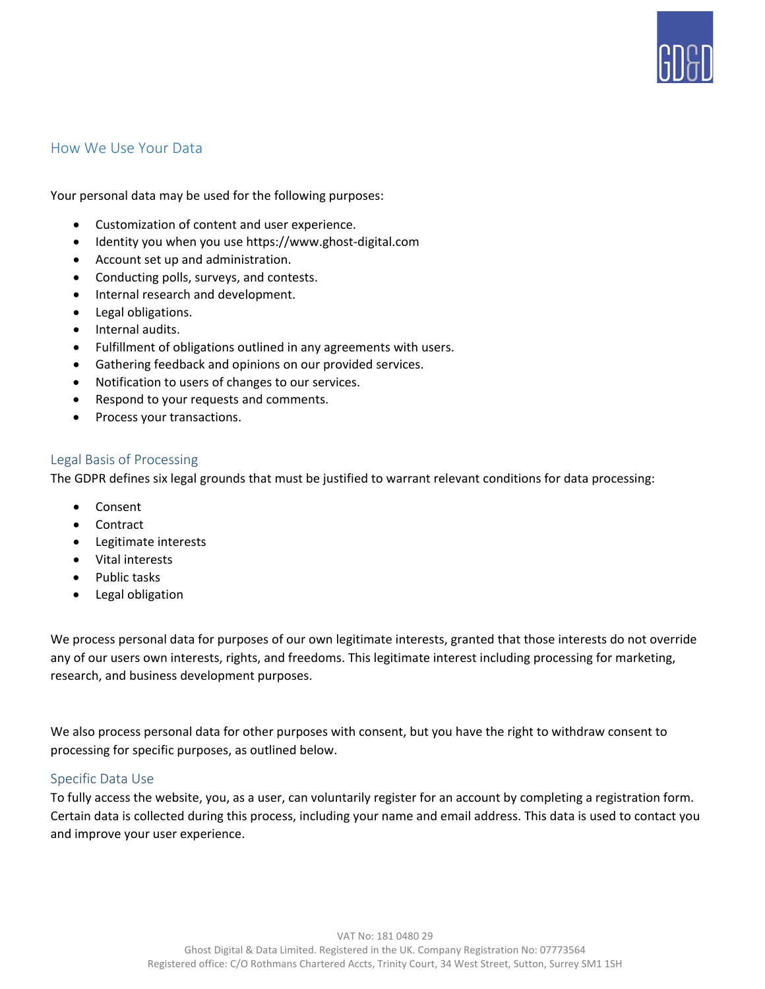

### How We Use Your Data

Your personal data may be used for the following purposes:

- Customization of content and user experience.
- Identity you when you use https://www.ghost-digital.com
- Account set up and administration.
- Conducting polls, surveys, and contests.
- Internal research and development.
- Legal obligations.
- Internal audits.
- Fulfillment of obligations outlined in any agreements with users.
- Gathering feedback and opinions on our provided services.
- Notification to users of changes to our services.
- Respond to your requests and comments.
- Process your transactions.

#### Legal Basis of Processing

The GDPR defines six legal grounds that must be justified to warrant relevant conditions for data processing:

- Consent
- Contract
- Legitimate interests
- Vital interests
- Public tasks
- Legal obligation

We process personal data for purposes of our own legitimate interests, granted that those interests do not override any of our users own interests, rights, and freedoms. This legitimate interest including processing for marketing, research, and business development purposes.

We also process personal data for other purposes with consent, but you have the right to withdraw consent to processing for specific purposes, as outlined below.

#### Specific Data Use

To fully access the website, you, as a user, can voluntarily register for an account by completing a registration form. Certain data is collected during this process, including your name and email address. This data is used to contact you and improve your user experience.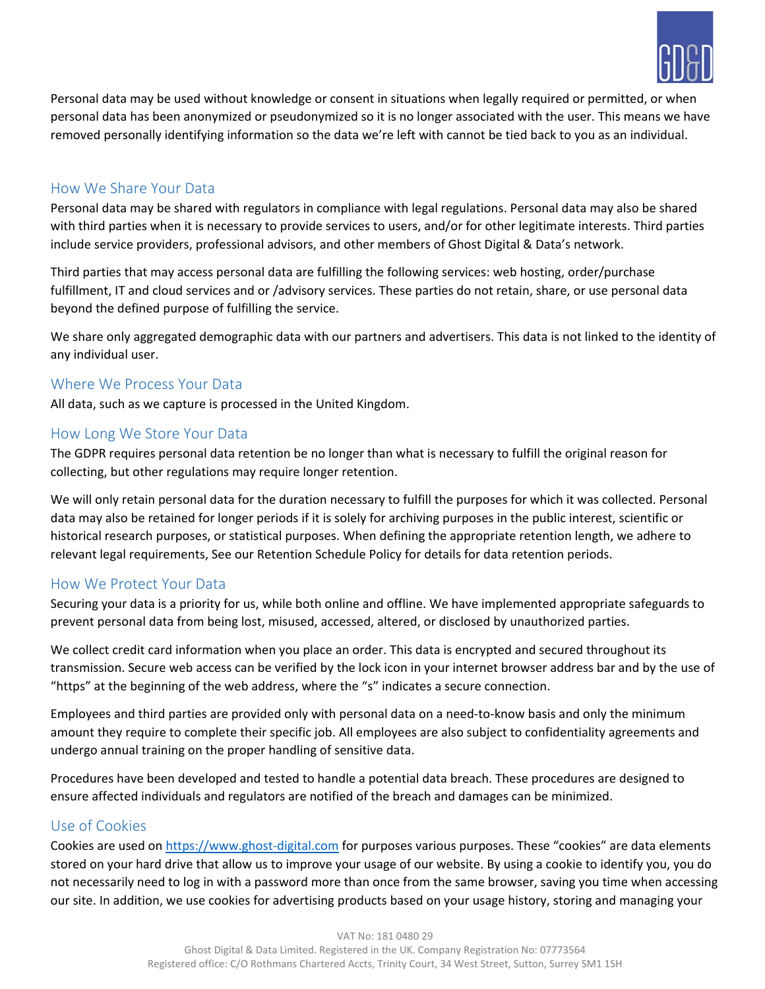

Personal data may be used without knowledge or consent in situations when legally required or permitted, or when personal data has been anonymized or pseudonymized so it is no longer associated with the user. This means we have removed personally identifying information so the data we're left with cannot be tied back to you as an individual.

## How We Share Your Data

Personal data may be shared with regulators in compliance with legal regulations. Personal data may also be shared with third parties when it is necessary to provide services to users, and/or for other legitimate interests. Third parties include service providers, professional advisors, and other members of Ghost Digital & Data's network.

Third parties that may access personal data are fulfilling the following services: web hosting, order/purchase fulfillment, IT and cloud services and or /advisory services. These parties do not retain, share, or use personal data beyond the defined purpose of fulfilling the service.

We share only aggregated demographic data with our partners and advertisers. This data is not linked to the identity of any individual user.

## Where We Process Your Data

All data, such as we capture is processed in the United Kingdom.

### How Long We Store Your Data

The GDPR requires personal data retention be no longer than what is necessary to fulfill the original reason for collecting, but other regulations may require longer retention.

We will only retain personal data for the duration necessary to fulfill the purposes for which it was collected. Personal data may also be retained for longer periods if it is solely for archiving purposes in the public interest, scientific or historical research purposes, or statistical purposes. When defining the appropriate retention length, we adhere to relevant legal requirements, See our Retention Schedule Policy for details for data retention periods.

## How We Protect Your Data

Securing your data is a priority for us, while both online and offline. We have implemented appropriate safeguards to prevent personal data from being lost, misused, accessed, altered, or disclosed by unauthorized parties.

We collect credit card information when you place an order. This data is encrypted and secured throughout its transmission. Secure web access can be verified by the lock icon in your internet browser address bar and by the use of "https" at the beginning of the web address, where the "s" indicates a secure connection.

Employees and third parties are provided only with personal data on a need-to-know basis and only the minimum amount they require to complete their specific job. All employees are also subject to confidentiality agreements and undergo annual training on the proper handling of sensitive data.

Procedures have been developed and tested to handle a potential data breach. These procedures are designed to ensure affected individuals and regulators are notified of the breach and damages can be minimized.

## Use of Cookies

Cookies are used o[n https://www.ghost-digital.com](https://www.ghost-digital.com/) for purposes various purposes. These "cookies" are data elements stored on your hard drive that allow us to improve your usage of our website. By using a cookie to identify you, you do not necessarily need to log in with a password more than once from the same browser, saving you time when accessing our site. In addition, we use cookies for advertising products based on your usage history, storing and managing your